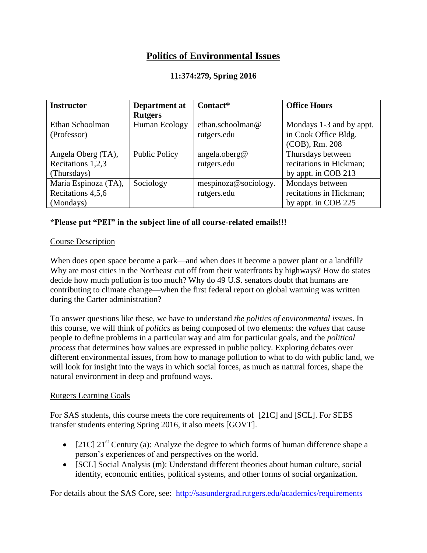# **Politics of Environmental Issues**

## **11:374:279, Spring 2016**

| <b>Instructor</b>    | Department at        | Contact*             | <b>Office Hours</b>      |
|----------------------|----------------------|----------------------|--------------------------|
|                      | <b>Rutgers</b>       |                      |                          |
| Ethan Schoolman      | Human Ecology        | ethan.schoolman@     | Mondays 1-3 and by appt. |
| (Professor)          |                      | rutgers.edu          | in Cook Office Bldg.     |
|                      |                      |                      | (COB), Rm. 208           |
| Angela Oberg (TA),   | <b>Public Policy</b> | angela.oberg@        | Thursdays between        |
| Recitations 1,2,3    |                      | rutgers.edu          | recitations in Hickman;  |
| (Thursdays)          |                      |                      | by appt. in COB 213      |
| Maria Espinoza (TA), | Sociology            | mespinoza@sociology. | Mondays between          |
| Recitations 4,5,6    |                      | rutgers.edu          | recitations in Hickman;  |
| (Mondays)            |                      |                      | by appt. in COB 225      |

## **\*Please put "PEI" in the subject line of all course-related emails!!!**

#### Course Description

When does open space become a park—and when does it become a power plant or a landfill? Why are most cities in the Northeast cut off from their waterfronts by highways? How do states decide how much pollution is too much? Why do 49 U.S. senators doubt that humans are contributing to climate change—when the first federal report on global warming was written during the Carter administration?

To answer questions like these, we have to understand *the politics of environmental issues*. In this course, we will think of *politics* as being composed of two elements: the *values* that cause people to define problems in a particular way and aim for particular goals, and the *political process* that determines how values are expressed in public policy. Exploring debates over different environmental issues, from how to manage pollution to what to do with public land, we will look for insight into the ways in which social forces, as much as natural forces, shape the natural environment in deep and profound ways.

#### Rutgers Learning Goals

For SAS students, this course meets the core requirements of [21C] and [SCL]. For SEBS transfer students entering Spring 2016, it also meets [GOVT].

- [21C]  $21<sup>st</sup>$  Century (a): Analyze the degree to which forms of human difference shape a person's experiences of and perspectives on the world.
- [SCL] Social Analysis (m): Understand different theories about human culture, social identity, economic entities, political systems, and other forms of social organization.

For details about the SAS Core, see: <http://sasundergrad.rutgers.edu/academics/requirements>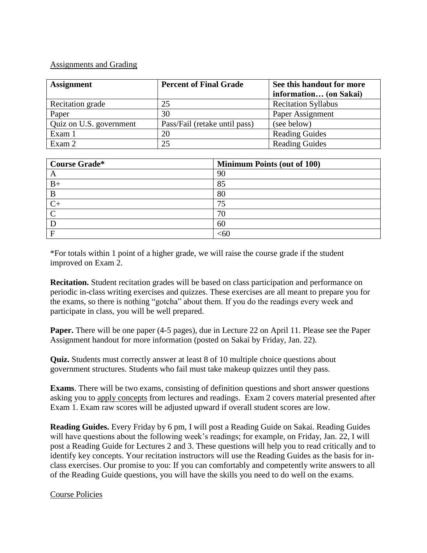#### Assignments and Grading

| <b>Assignment</b>       | <b>Percent of Final Grade</b> | See this handout for more  |
|-------------------------|-------------------------------|----------------------------|
|                         |                               | information (on Sakai)     |
| Recitation grade        | 25                            | <b>Recitation Syllabus</b> |
| Paper                   | 30                            | Paper Assignment           |
| Quiz on U.S. government | Pass/Fail (retake until pass) | (see below)                |
| Exam 1                  | 20                            | <b>Reading Guides</b>      |
| Exam 2                  | 25                            | <b>Reading Guides</b>      |

| <b>Course Grade*</b> | <b>Minimum Points (out of 100)</b> |
|----------------------|------------------------------------|
| A                    | 90                                 |
| $B+$                 | 85                                 |
| B                    | 80                                 |
|                      | 75                                 |
| $\curvearrowright$   | 70                                 |
|                      | 60                                 |
| Е                    | <60                                |

\*For totals within 1 point of a higher grade, we will raise the course grade if the student improved on Exam 2.

**Recitation.** Student recitation grades will be based on class participation and performance on periodic in-class writing exercises and quizzes. These exercises are all meant to prepare you for the exams, so there is nothing "gotcha" about them. If you do the readings every week and participate in class, you will be well prepared.

**Paper.** There will be one paper (4-5 pages), due in Lecture 22 on April 11. Please see the Paper Assignment handout for more information (posted on Sakai by Friday, Jan. 22).

**Quiz.** Students must correctly answer at least 8 of 10 multiple choice questions about government structures. Students who fail must take makeup quizzes until they pass.

**Exams**. There will be two exams, consisting of definition questions and short answer questions asking you to apply concepts from lectures and readings. Exam 2 covers material presented after Exam 1. Exam raw scores will be adjusted upward if overall student scores are low.

**Reading Guides.** Every Friday by 6 pm, I will post a Reading Guide on Sakai. Reading Guides will have questions about the following week's readings; for example, on Friday, Jan. 22, I will post a Reading Guide for Lectures 2 and 3. These questions will help you to read critically and to identify key concepts. Your recitation instructors will use the Reading Guides as the basis for inclass exercises. Our promise to you: If you can comfortably and competently write answers to all of the Reading Guide questions, you will have the skills you need to do well on the exams.

#### Course Policies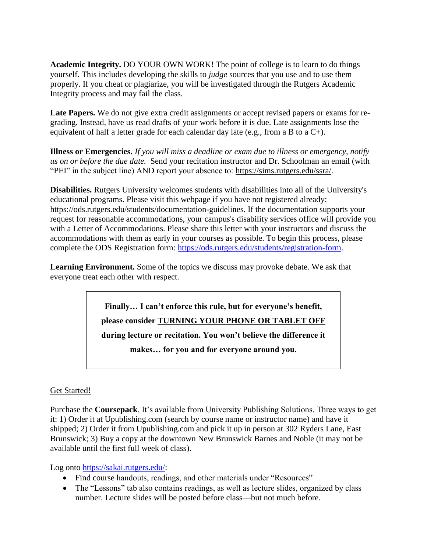**Academic Integrity.** DO YOUR OWN WORK! The point of college is to learn to do things yourself. This includes developing the skills to *judge* sources that you use and to use them properly. If you cheat or plagiarize, you will be investigated through the Rutgers Academic Integrity process and may fail the class.

**Late Papers.** We do not give extra credit assignments or accept revised papers or exams for regrading. Instead, have us read drafts of your work before it is due. Late assignments lose the equivalent of half a letter grade for each calendar day late (e.g., from a B to a  $C_{+}$ ).

**Illness or Emergencies.** *If you will miss a deadline or exam due to illness or emergency, notify us on or before the due date.* Send your recitation instructor and Dr. Schoolman an email (with "PEI" in the subject line) AND report your absence to: [https://sims.rutgers.edu/ssra/.](https://sims.rutgers.edu/ssra/)

**Disabilities.** Rutgers University welcomes students with disabilities into all of the University's educational programs. Please visit this webpage if you have not registered already: https://ods.rutgers.edu/students/documentation-guidelines. If the documentation supports your request for reasonable accommodations, your campus's disability services office will provide you with a Letter of Accommodations. Please share this letter with your instructors and discuss the accommodations with them as early in your courses as possible. To begin this process, please complete the ODS Registration form: [https://ods.rutgers.edu/students/registration-form.](https://ods.rutgers.edu/students/registration-form)

**Learning Environment.** Some of the topics we discuss may provoke debate. We ask that everyone treat each other with respect.

> **Finally… I can't enforce this rule, but for everyone's benefit, please consider TURNING YOUR PHONE OR TABLET OFF during lecture or recitation. You won't believe the difference it makes… for you and for everyone around you.**

## Get Started!

Purchase the **Coursepack**. It's available from University Publishing Solutions. Three ways to get it: 1) Order it at Upublishing.com (search by course name or instructor name) and have it shipped; 2) Order it from Upublishing.com and pick it up in person at 302 Ryders Lane, East Brunswick; 3) Buy a copy at the downtown New Brunswick Barnes and Noble (it may not be available until the first full week of class).

Log onto [https://sakai.rutgers.edu/:](https://sakai.rutgers.edu/)

- Find course handouts, readings, and other materials under "Resources"
- The "Lessons" tab also contains readings, as well as lecture slides, organized by class number. Lecture slides will be posted before class—but not much before.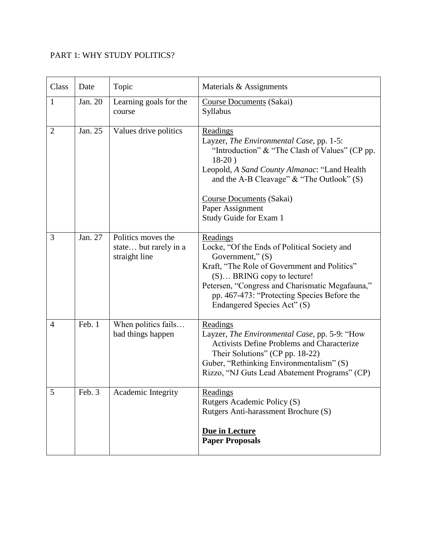# PART 1: WHY STUDY POLITICS?

| Class          | Date    | Topic                                                        | Materials & Assignments                                                                                                                                                                                                                                                                             |
|----------------|---------|--------------------------------------------------------------|-----------------------------------------------------------------------------------------------------------------------------------------------------------------------------------------------------------------------------------------------------------------------------------------------------|
| $\mathbf{1}$   | Jan. 20 | Learning goals for the<br>course                             | Course Documents (Sakai)<br>Syllabus                                                                                                                                                                                                                                                                |
| $\overline{2}$ | Jan. 25 | Values drive politics                                        | Readings<br>Layzer, The Environmental Case, pp. 1-5:<br>"Introduction" & "The Clash of Values" (CP pp.<br>$18-20$ )<br>Leopold, A Sand County Almanac: "Land Health<br>and the A-B Cleavage" $\&$ "The Outlook" (S)<br>Course Documents (Sakai)<br>Paper Assignment<br>Study Guide for Exam 1       |
| 3              | Jan. 27 | Politics moves the<br>state but rarely in a<br>straight line | Readings<br>Locke, "Of the Ends of Political Society and<br>Government," (S)<br>Kraft, "The Role of Government and Politics"<br>$(S) \dots$ BRING copy to lecture!<br>Petersen, "Congress and Charismatic Megafauna,"<br>pp. 467-473: "Protecting Species Before the<br>Endangered Species Act" (S) |
| $\overline{4}$ | Feb. 1  | When politics fails<br>bad things happen                     | Readings<br>Layzer, The Environmental Case, pp. 5-9: "How<br><b>Activists Define Problems and Characterize</b><br>Their Solutions" (CP pp. 18-22)<br>Guber, "Rethinking Environmentalism" (S)<br>Rizzo, "NJ Guts Lead Abatement Programs" (CP)                                                      |
| 5              | Feb. 3  | Academic Integrity                                           | <u>Readings</u><br>Rutgers Academic Policy (S)<br>Rutgers Anti-harassment Brochure (S)<br>Due in Lecture<br><b>Paper Proposals</b>                                                                                                                                                                  |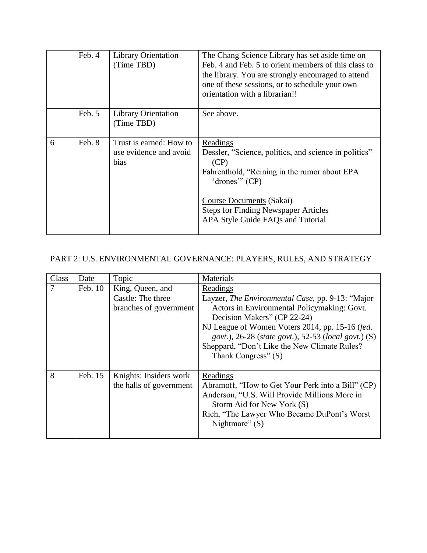|   | Feb. 4 | <b>Library Orientation</b><br>(Time TBD)                  | The Chang Science Library has set aside time on<br>Feb. 4 and Feb. 5 to orient members of this class to<br>the library. You are strongly encouraged to attend<br>one of these sessions, or to schedule your own<br>orientation with a librarian!!           |
|---|--------|-----------------------------------------------------------|-------------------------------------------------------------------------------------------------------------------------------------------------------------------------------------------------------------------------------------------------------------|
|   | Feb. 5 | <b>Library Orientation</b><br>(Time TBD)                  | See above.                                                                                                                                                                                                                                                  |
| 6 | Feb. 8 | Trust is earned: How to<br>use evidence and avoid<br>bias | Readings<br>Dessler, "Science, politics, and science in politics"<br>(CP)<br>Fahrenthold, "Reining in the rumor about EPA<br>'drones'" (CP)<br>Course Documents (Sakai)<br><b>Steps for Finding Newspaper Articles</b><br>APA Style Guide FAQs and Tutorial |

# PART 2: U.S. ENVIRONMENTAL GOVERNANCE: PLAYERS, RULES, AND STRATEGY

| Class | Date    | Topic                                       | Materials                                                                                                                                                                                                                                                                                                        |
|-------|---------|---------------------------------------------|------------------------------------------------------------------------------------------------------------------------------------------------------------------------------------------------------------------------------------------------------------------------------------------------------------------|
|       | Feb. 10 | King, Queen, and                            | Readings                                                                                                                                                                                                                                                                                                         |
|       |         | Castle: The three<br>branches of government | Layzer, The Environmental Case, pp. 9-13: "Major<br>Actors in Environmental Policymaking: Govt.<br>Decision Makers" (CP 22-24)<br>NJ League of Women Voters 2014, pp. 15-16 (fed.<br>govt.), 26-28 (state govt.), 52-53 (local govt.) (S)<br>Sheppard, "Don't Like the New Climate Rules?<br>Thank Congress" (S) |
| 8     | Feb. 15 | Knights: Insiders work                      | Readings                                                                                                                                                                                                                                                                                                         |
|       |         | the halls of government                     | Abramoff, "How to Get Your Perk into a Bill" (CP)<br>Anderson, "U.S. Will Provide Millions More in<br>Storm Aid for New York (S)<br>Rich, "The Lawyer Who Became DuPont's Worst<br>Nightmare" $(S)$                                                                                                              |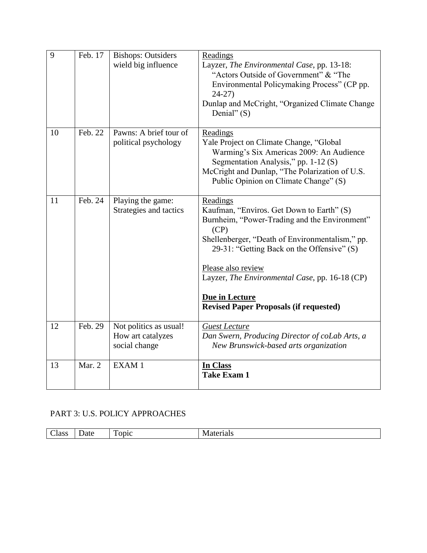| $\overline{9}$ | Feb. 17 | <b>Bishops: Outsiders</b><br>wield big influence             | Readings<br>Layzer, The Environmental Case, pp. 13-18:<br>"Actors Outside of Government" & "The<br>Environmental Policymaking Process" (CP pp.<br>$24-27$<br>Dunlap and McCright, "Organized Climate Change<br>Denial" $(S)$                                                                                                                               |
|----------------|---------|--------------------------------------------------------------|------------------------------------------------------------------------------------------------------------------------------------------------------------------------------------------------------------------------------------------------------------------------------------------------------------------------------------------------------------|
| 10             | Feb. 22 | Pawns: A brief tour of<br>political psychology               | Readings<br>Yale Project on Climate Change, "Global<br>Warming's Six Americas 2009: An Audience<br>Segmentation Analysis," pp. 1-12 (S)<br>McCright and Dunlap, "The Polarization of U.S.<br>Public Opinion on Climate Change" (S)                                                                                                                         |
| 11             | Feb. 24 | Playing the game:<br>Strategies and tactics                  | Readings<br>Kaufman, "Enviros. Get Down to Earth" (S)<br>Burnheim, "Power-Trading and the Environment"<br>(CP)<br>Shellenberger, "Death of Environmentalism," pp.<br>29-31: "Getting Back on the Offensive" (S)<br>Please also review<br>Layzer, The Environmental Case, pp. 16-18 (CP)<br>Due in Lecture<br><b>Revised Paper Proposals (if requested)</b> |
| 12             | Feb. 29 | Not politics as usual!<br>How art catalyzes<br>social change | <b>Guest Lecture</b><br>Dan Swern, Producing Director of coLab Arts, a<br>New Brunswick-based arts organization                                                                                                                                                                                                                                            |
| 13             | Mar. 2  | EXAM1                                                        | In Class<br><b>Take Exam 1</b>                                                                                                                                                                                                                                                                                                                             |

# PART 3: U.S. POLICY APPROACHES

| m<br>È<br>----<br>Jate<br>lace<br>)DIC<br>$\cup$ 1000<br>'ais<br>-<br>$- - -$ |
|-------------------------------------------------------------------------------|
|-------------------------------------------------------------------------------|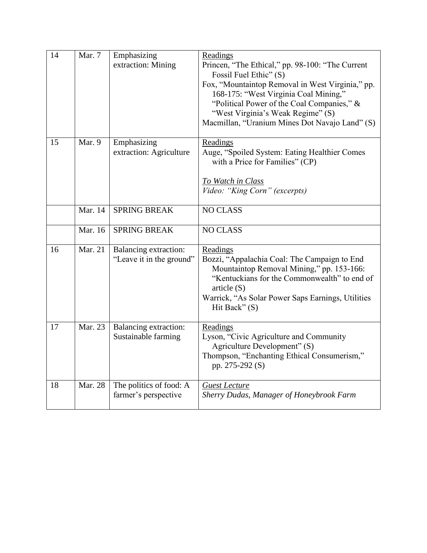| 14 | Mar. 7  | Emphasizing                                       | Readings                                                                        |
|----|---------|---------------------------------------------------|---------------------------------------------------------------------------------|
|    |         | extraction: Mining                                | Princen, "The Ethical," pp. 98-100: "The Current                                |
|    |         |                                                   | Fossil Fuel Ethic" (S)                                                          |
|    |         |                                                   | Fox, "Mountaintop Removal in West Virginia," pp.                                |
|    |         |                                                   | 168-175: "West Virginia Coal Mining,"                                           |
|    |         |                                                   | "Political Power of the Coal Companies," &<br>"West Virginia's Weak Regime" (S) |
|    |         |                                                   | Macmillan, "Uranium Mines Dot Navajo Land" (S)                                  |
|    |         |                                                   |                                                                                 |
| 15 | Mar. 9  | Emphasizing                                       | Readings                                                                        |
|    |         | extraction: Agriculture                           | Auge, "Spoiled System: Eating Healthier Comes                                   |
|    |         |                                                   | with a Price for Families" (CP)                                                 |
|    |         |                                                   | <b>To Watch in Class</b>                                                        |
|    |         |                                                   | Video: "King Corn" (excerpts)                                                   |
|    | Mar. 14 | <b>SPRING BREAK</b>                               | <b>NO CLASS</b>                                                                 |
|    |         |                                                   |                                                                                 |
|    | Mar. 16 | <b>SPRING BREAK</b>                               | <b>NO CLASS</b>                                                                 |
| 16 | Mar. 21 |                                                   |                                                                                 |
|    |         | Balancing extraction:<br>"Leave it in the ground" | Readings<br>Bozzi, "Appalachia Coal: The Campaign to End                        |
|    |         |                                                   | Mountaintop Removal Mining," pp. 153-166:                                       |
|    |         |                                                   | "Kentuckians for the Commonwealth" to end of                                    |
|    |         |                                                   | article(S)                                                                      |
|    |         |                                                   | Warrick, "As Solar Power Saps Earnings, Utilities                               |
|    |         |                                                   | Hit Back" $(S)$                                                                 |
| 17 | Mar. 23 |                                                   |                                                                                 |
|    |         | Balancing extraction:<br>Sustainable farming      | Readings<br>Lyson, "Civic Agriculture and Community                             |
|    |         |                                                   | Agriculture Development" (S)                                                    |
|    |         |                                                   | Thompson, "Enchanting Ethical Consumerism,"                                     |
|    |         |                                                   | pp. 275-292 (S)                                                                 |
|    |         |                                                   |                                                                                 |
| 18 | Mar. 28 | The politics of food: A                           | <b>Guest Lecture</b>                                                            |
|    |         | farmer's perspective                              | Sherry Dudas, Manager of Honeybrook Farm                                        |
|    |         |                                                   |                                                                                 |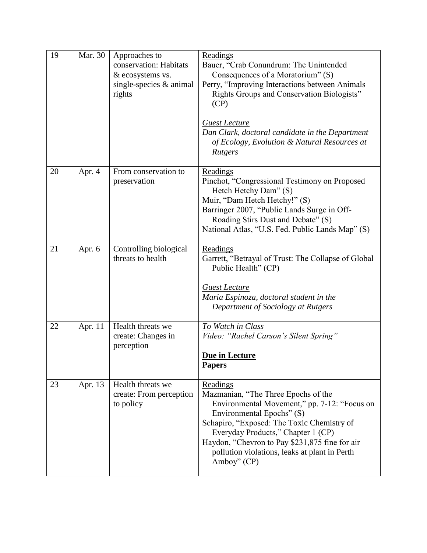| 19 | Mar. 30 | Approaches to<br>conservation: Habitats<br>& ecosystems vs.<br>single-species $&$ animal<br>rights | Readings<br>Bauer, "Crab Conundrum: The Unintended<br>Consequences of a Moratorium" (S)<br>Perry, "Improving Interactions between Animals<br>Rights Groups and Conservation Biologists"<br>(CP)<br><b>Guest Lecture</b><br>Dan Clark, doctoral candidate in the Department<br>of Ecology, Evolution & Natural Resources at<br>Rutgers |
|----|---------|----------------------------------------------------------------------------------------------------|---------------------------------------------------------------------------------------------------------------------------------------------------------------------------------------------------------------------------------------------------------------------------------------------------------------------------------------|
| 20 | Apr. 4  | From conservation to<br>preservation                                                               | Readings<br>Pinchot, "Congressional Testimony on Proposed<br>Hetch Hetchy Dam" (S)<br>Muir, "Dam Hetch Hetchy!" (S)<br>Barringer 2007, "Public Lands Surge in Off-<br>Roading Stirs Dust and Debate" (S)<br>National Atlas, "U.S. Fed. Public Lands Map" (S)                                                                          |
| 21 | Apr. 6  | Controlling biological<br>threats to health                                                        | Readings<br>Garrett, "Betrayal of Trust: The Collapse of Global<br>Public Health" (CP)<br><b>Guest Lecture</b><br>Maria Espinoza, doctoral student in the<br>Department of Sociology at Rutgers                                                                                                                                       |
| 22 | Apr. 11 | Health threats we<br>create: Changes in<br>perception                                              | To Watch in Class<br>Video: "Rachel Carson's Silent Spring"<br>Due in Lecture<br><b>Papers</b>                                                                                                                                                                                                                                        |
| 23 | Apr. 13 | Health threats we<br>create: From perception<br>to policy                                          | Readings<br>Mazmanian, "The Three Epochs of the<br>Environmental Movement," pp. 7-12: "Focus on<br>Environmental Epochs" (S)<br>Schapiro, "Exposed: The Toxic Chemistry of<br>Everyday Products," Chapter 1 (CP)<br>Haydon, "Chevron to Pay \$231,875 fine for air<br>pollution violations, leaks at plant in Perth<br>Amboy" (CP)    |